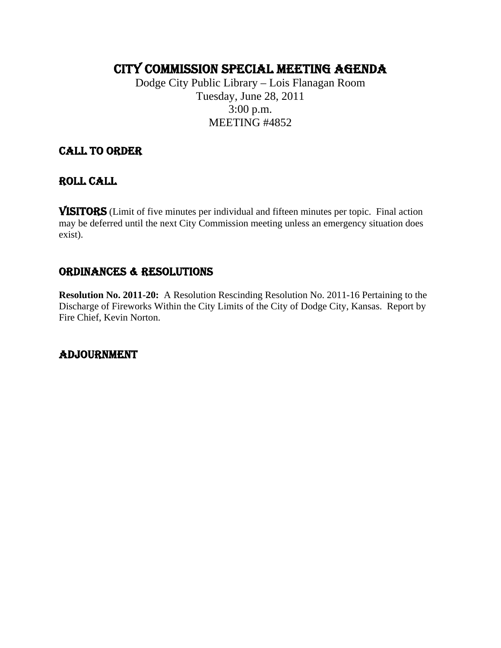# CITY COMMISSION SPECIAL MEETING AGENDA

Dodge City Public Library – Lois Flanagan Room Tuesday, June 28, 2011 3:00 p.m. MEETING #4852

## CALL TO ORDER

## ROLL CALL

VISITORS (Limit of five minutes per individual and fifteen minutes per topic. Final action may be deferred until the next City Commission meeting unless an emergency situation does exist).

## ORDINANCES & RESOLUTIONS

**Resolution No. 2011-20:** A Resolution Rescinding Resolution No. 2011-16 Pertaining to the Discharge of Fireworks Within the City Limits of the City of Dodge City, Kansas. Report by Fire Chief, Kevin Norton.

## ADJOURNMENT